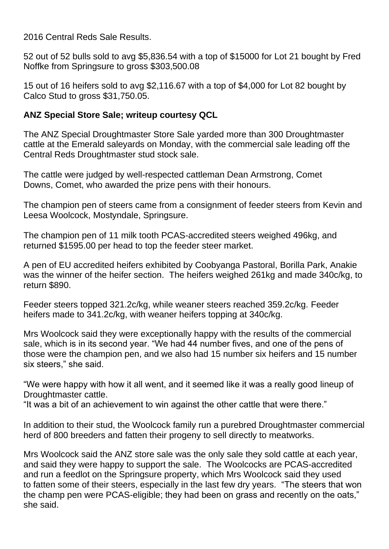2016 Central Reds Sale Results.

52 out of 52 bulls sold to avg \$5,836.54 with a top of \$15000 for Lot 21 bought by Fred Noffke from Springsure to gross \$303,500.08

15 out of 16 heifers sold to avg \$2,116.67 with a top of \$4,000 for Lot 82 bought by Calco Stud to gross \$31,750.05.

## **ANZ Special Store Sale; writeup courtesy QCL**

The ANZ Special Droughtmaster Store Sale yarded more than 300 Droughtmaster cattle at the Emerald saleyards on Monday, with the commercial sale leading off the Central Reds Droughtmaster stud stock sale.

The cattle were judged by well-respected cattleman Dean Armstrong, Comet Downs, Comet, who awarded the prize pens with their honours.

The champion pen of steers came from a consignment of feeder steers from Kevin and Leesa Woolcock, Mostyndale, Springsure.

The champion pen of 11 milk tooth PCAS-accredited steers weighed 496kg, and returned \$1595.00 per head to top the feeder steer market.

A pen of EU accredited heifers exhibited by Coobyanga Pastoral, Borilla Park, Anakie was the winner of the heifer section. The heifers weighed 261kg and made 340c/kg, to return \$890.

Feeder steers topped 321.2c/kg, while weaner steers reached 359.2c/kg. Feeder heifers made to 341.2c/kg, with weaner heifers topping at 340c/kg.

Mrs Woolcock said they were exceptionally happy with the results of the commercial sale, which is in its second year. "We had 44 number fives, and one of the pens of those were the champion pen, and we also had 15 number six heifers and 15 number six steers," she said.

"We were happy with how it all went, and it seemed like it was a really good lineup of Droughtmaster cattle.

"It was a bit of an achievement to win against the other cattle that were there."

In addition to their stud, the Woolcock family run a purebred Droughtmaster commercial herd of 800 breeders and fatten their progeny to sell directly to meatworks.

Mrs Woolcock said the ANZ store sale was the only sale they sold cattle at each year, and said they were happy to support the sale. The Woolcocks are PCAS-accredited and run a feedlot on the Springsure property, which Mrs Woolcock said they used to fatten some of their steers, especially in the last few dry years. "The steers that won the champ pen were PCAS-eligible; they had been on grass and recently on the oats," she said.